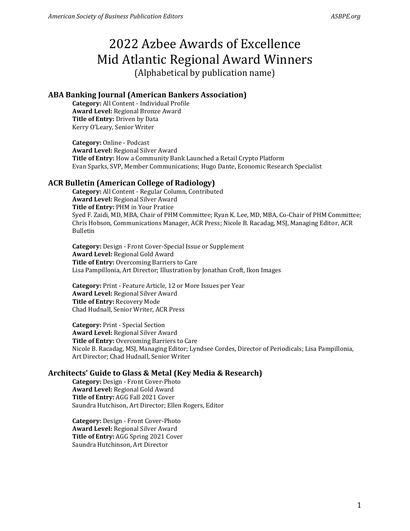#### **ABA Banking Journal (American Bankers Association)**

**Category:** All Content - Individual Profile **Award Level:** Regional Bronze Award **Title of Entry:** Driven by Data Kerry O'Leary, Senior Writer

**Category:** Online - Podcast **Award Level:** Regional Silver Award **Title of Entry:** How a Community Bank Launched a Retail Crypto Platform Evan Sparks, SVP, Member Communications; Hugo Dante, Economic Research Specialist

#### **ACR Bulletin (American College of Radiology)**

**Category:** All Content - Regular Column, Contributed **Award Level:** Regional Silver Award **Title of Entry:** PHM in Your Pratice Syed F. Zaidi, MD, MBA, Chair of PHM Committee; Ryan K. Lee, MD, MBA, Co-Chair of PHM Committee; Chris Hobson, Communications Manager, ACR Press; Nicole B. Racadag, MSJ, Managing Editor, ACR Bulletin

**Category:** Design - Front Cover-Special Issue or Supplement **Award Level:** Regional Gold Award **Title of Entry:** Overcoming Barriers to Care Lisa Pampillonia, Art Director; Illustration by Jonathan Croft, Ikon Images

**Category:** Print - Feature Article, 12 or More Issues per Year **Award Level:** Regional Silver Award **Title of Entry:** Recovery Mode Chad Hudnall, Senior Writer, ACR Press

**Category:** Print - Special Section **Award Level:** Regional Silver Award **Title of Entry:** Overcoming Barriers to Care Nicole B. Racadag, MSJ, Managing Editor; Lyndsee Cordes, Director of Periodicals; Lisa Pampillonia, Art Director; Chad Hudnall, Senior Writer

#### **Architects' Guide to Glass & Metal (Key Media & Research)**

**Category:** Design - Front Cover-Photo **Award Level:** Regional Gold Award **Title of Entry:** AGG Fall 2021 Cover Saundra Hutchison, Art Director; Ellen Rogers, Editor

**Category:** Design - Front Cover-Photo **Award Level:** Regional Silver Award **Title of Entry:** AGG Spring 2021 Cover Saundra Hutchinson, Art Director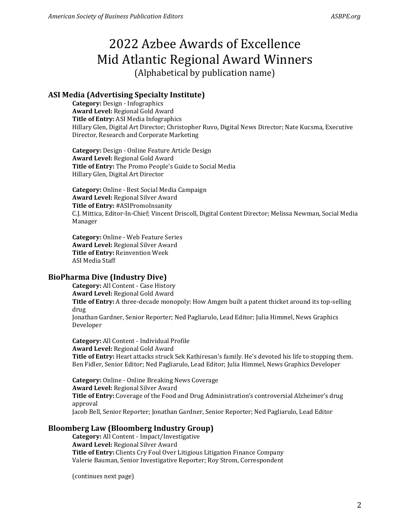# **ASI Media (Advertising Specialty Institute)**

**Category:** Design - Infographics **Award Level:** Regional Gold Award **Title of Entry:** ASI Media Infographics Hillary Glen, Digital Art Director; Christopher Ruvo, Digital News Director; Nate Kucsma, Executive Director, Research and Corporate Marketing

**Category:** Design - Online Feature Article Design **Award Level:** Regional Gold Award **Title of Entry:** The Promo People's Guide to Social Media Hillary Glen, Digital Art Director

**Category:** Online - Best Social Media Campaign **Award Level:** Regional Silver Award **Title of Entry:** #ASIPromoInsanity C.J. Mittica, Editor-In-Chief; Vincent Driscoll, Digital Content Director; Melissa Newman, Social Media Manager

**Category:** Online - Web Feature Series **Award Level:** Regional Silver Award **Title of Entry:** Reinvention Week ASI Media Staff

## **BioPharma Dive (Industry Dive)**

**Category:** All Content - Case History **Award Level:** Regional Gold Award **Title of Entry:** A three-decade monopoly: How Amgen built a patent thicket around its top-selling drug Jonathan Gardner, Senior Reporter; Ned Pagliarulo, Lead Editor; Julia Himmel, News Graphics Developer

**Category:** All Content - Individual Profile **Award Level:** Regional Gold Award **Title of Entry:** Heart attacks struck Sek Kathiresan's family. He's devoted his life to stopping them. Ben Fidler, Senior Editor; Ned Pagliarulo, Lead Editor; Julia Himmel, News Graphics Developer

**Category:** Online - Online Breaking News Coverage **Award Level:** Regional Silver Award **Title of Entry:** Coverage of the Food and Drug Administration's controversial Alzheimer's drug approval Jacob Bell, Senior Reporter; Jonathan Gardner, Senior Reporter; Ned Pagliarulo, Lead Editor

## **Bloomberg Law (Bloomberg Industry Group)**

**Category:** All Content - Impact/Investigative **Award Level:** Regional Silver Award **Title of Entry:** Clients Cry Foul Over Litigious Litigation Finance Company Valerie Bauman, Senior Investigative Reporter; Roy Strom, Correspondent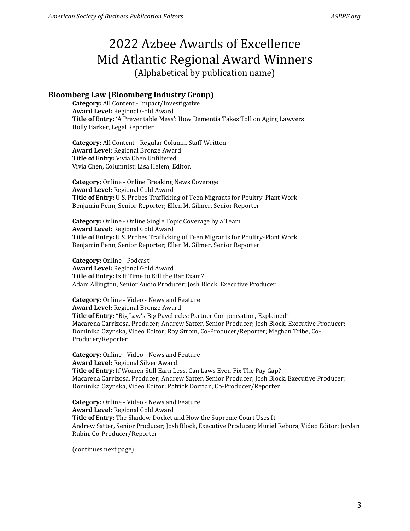## **Bloomberg Law (Bloomberg Industry Group)**

**Category:** All Content - Impact/Investigative **Award Level:** Regional Gold Award **Title of Entry:** 'A Preventable Mess': How Dementia Takes Toll on Aging Lawyers Holly Barker, Legal Reporter

**Category:** All Content - Regular Column, Staff-Written **Award Level:** Regional Bronze Award **Title of Entry:** Vivia Chen Unfiltered Vivia Chen, Columnist; Lisa Helem, Editor.

**Category:** Online - Online Breaking News Coverage **Award Level:** Regional Gold Award **Title of Entry:** U.S. Probes Trafficking of Teen Migrants for Poultry-Plant Work Benjamin Penn, Senior Reporter; Ellen M. Gilmer, Senior Reporter

**Category:** Online - Online Single Topic Coverage by a Team **Award Level:** Regional Gold Award **Title of Entry:** U.S. Probes Trafficking of Teen Migrants for Poultry-Plant Work Benjamin Penn, Senior Reporter; Ellen M. Gilmer, Senior Reporter

**Category:** Online - Podcast **Award Level:** Regional Gold Award **Title of Entry:** Is It Time to Kill the Bar Exam? Adam Allington, Senior Audio Producer; Josh Block, Executive Producer

**Category:** Online - Video - News and Feature **Award Level:** Regional Bronze Award **Title of Entry:** "Big Law's Big Paychecks: Partner Compensation, Explained" Macarena Carrizosa, Producer; Andrew Satter, Senior Producer; Josh Block, Executive Producer; Dominika Ozynska, Video Editor; Roy Strom, Co-Producer/Reporter; Meghan Tribe, Co-Producer/Reporter

**Category:** Online - Video - News and Feature **Award Level:** Regional Silver Award **Title of Entry:** If Women Still Earn Less, Can Laws Even Fix The Pay Gap? Macarena Carrizosa, Producer; Andrew Satter, Senior Producer; Josh Block, Executive Producer; Dominika Ozynska, Video Editor; Patrick Dorrian, Co-Producer/Reporter

**Category:** Online - Video - News and Feature **Award Level:** Regional Gold Award **Title of Entry:** The Shadow Docket and How the Supreme Court Uses It Andrew Satter, Senior Producer; Josh Block, Executive Producer; Muriel Rebora, Video Editor; Jordan Rubin, Co-Producer/Reporter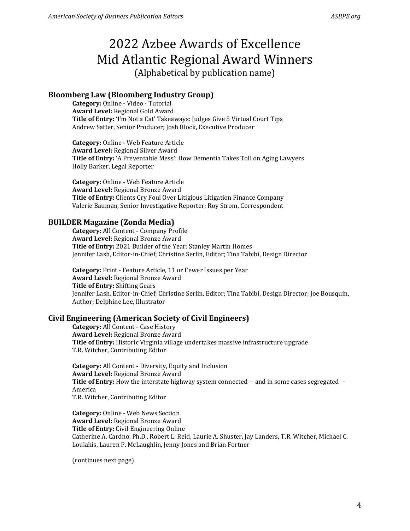#### **Bloomberg Law (Bloomberg Industry Group)**

**Category:** Online - Video - Tutorial **Award Level:** Regional Gold Award **Title of Entry:** 'I'm Not a Cat' Takeaways: Judges Give 5 Virtual Court Tips Andrew Satter, Senior Producer; Josh Block, Executive Producer

**Category:** Online - Web Feature Article **Award Level:** Regional Silver Award **Title of Entry:** 'A Preventable Mess': How Dementia Takes Toll on Aging Lawyers Holly Barker, Legal Reporter

**Category:** Online - Web Feature Article **Award Level:** Regional Bronze Award **Title of Entry:** Clients Cry Foul Over Litigious Litigation Finance Company Valerie Bauman, Senior Investigative Reporter; Roy Strom, Correspondent

#### **BUILDER Magazine (Zonda Media)**

**Category:** All Content - Company Profile **Award Level:** Regional Bronze Award **Title of Entry:** 2021 Builder of the Year: Stanley Martin Homes Jennifer Lash, Editor-in-Chief; Christine Serlin, Editor; Tina Tabibi, Design Director

**Category:** Print - Feature Article, 11 or Fewer Issues per Year **Award Level:** Regional Bronze Award **Title of Entry:** Shifting Gears Jennifer Lash, Editor-in-Chief; Christine Serlin, Editor; Tina Tabibi, Design Director; Joe Bousquin, Author; Delphine Lee, Illustrator

#### **Civil Engineering (American Society of Civil Engineers)**

**Category:** All Content - Case History **Award Level:** Regional Bronze Award **Title of Entry:** Historic Virginia village undertakes massive infrastructure upgrade T.R. Witcher, Contributing Editor

**Category:** All Content - Diversity, Equity and Inclusion **Award Level:** Regional Bronze Award **Title of Entry:** How the interstate highway system connected -- and in some cases segregated -- America T.R. Witcher, Contributing Editor

**Category:** Online - Web News Section **Award Level:** Regional Bronze Award **Title of Entry:** Civil Engineering Online Catherine A. Cardno, Ph.D., Robert L. Reid, Laurie A. Shuster, Jay Landers, T.R. Witcher, Michael C. Loulakis, Lauren P. McLaughlin, Jenny Jones and Brian Fortner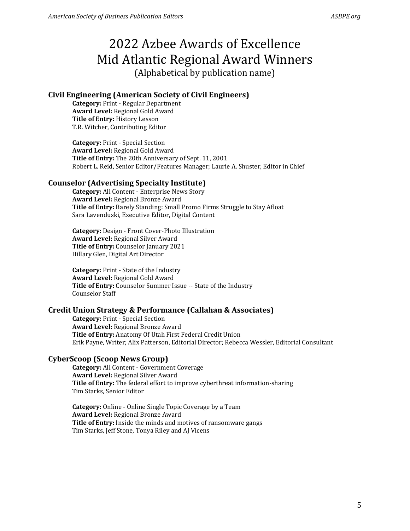## **Civil Engineering (American Society of Civil Engineers)**

**Category:** Print - Regular Department **Award Level:** Regional Gold Award **Title of Entry:** History Lesson T.R. Witcher, Contributing Editor

**Category:** Print - Special Section **Award Level:** Regional Gold Award **Title of Entry:** The 20th Anniversary of Sept. 11, 2001 Robert L. Reid, Senior Editor/Features Manager; Laurie A. Shuster, Editor in Chief

## **Counselor (Advertising Specialty Institute)**

**Category:** All Content - Enterprise News Story **Award Level:** Regional Bronze Award **Title of Entry:** Barely Standing: Small Promo Firms Struggle to Stay Afloat Sara Lavenduski, Executive Editor, Digital Content

**Category:** Design - Front Cover-Photo Illustration **Award Level:** Regional Silver Award **Title of Entry:** Counselor January 2021 Hillary Glen, Digital Art Director

**Category:** Print - State of the Industry **Award Level:** Regional Gold Award **Title of Entry:** Counselor Summer Issue -- State of the Industry Counselor Staff

## **Credit Union Strategy & Performance (Callahan & Associates)**

**Category:** Print - Special Section **Award Level:** Regional Bronze Award **Title of Entry:** Anatomy Of Utah First Federal Credit Union Erik Payne, Writer; Alix Patterson, Editorial Director; Rebecca Wessler, Editorial Consultant

# **CyberScoop (Scoop News Group)**

**Category:** All Content - Government Coverage **Award Level:** Regional Silver Award **Title of Entry:** The federal effort to improve cyberthreat information-sharing Tim Starks, Senior Editor

**Category:** Online - Online Single Topic Coverage by a Team **Award Level:** Regional Bronze Award **Title of Entry:** Inside the minds and motives of ransomware gangs Tim Starks, Jeff Stone, Tonya Riley and AJ Vicens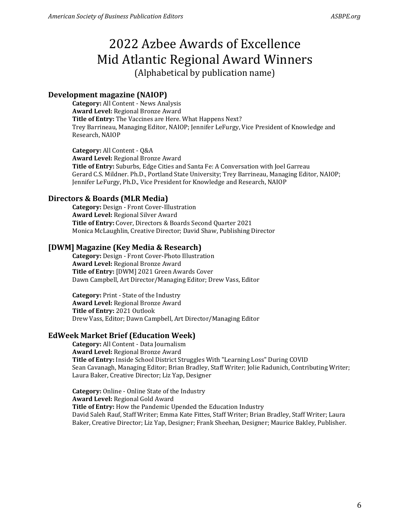#### **Development magazine (NAIOP)**

**Category:** All Content - News Analysis **Award Level:** Regional Bronze Award **Title of Entry:** The Vaccines are Here. What Happens Next? Trey Barrineau, Managing Editor, NAIOP; Jennifer LeFurgy, Vice President of Knowledge and Research, NAIOP

**Category:** All Content - Q&A **Award Level:** Regional Bronze Award **Title of Entry:** Suburbs, Edge Cities and Santa Fe: A Conversation with Joel Garreau Gerard C.S. Mildner. Ph.D., Portland State University; Trey Barrineau, Managing Editor, NAIOP; Jennifer LeFurgy, Ph.D., Vice President for Knowledge and Research, NAIOP

#### **Directors & Boards (MLR Media)**

**Category:** Design - Front Cover-Illustration **Award Level:** Regional Silver Award **Title of Entry:** Cover, Directors & Boards Second Quarter 2021 Monica McLaughlin, Creative Director; David Shaw, Publishing Director

#### **[DWM] Magazine (Key Media & Research)**

**Category:** Design - Front Cover-Photo Illustration **Award Level:** Regional Bronze Award **Title of Entry:** [DWM] 2021 Green Awards Cover Dawn Campbell, Art Director/Managing Editor; Drew Vass, Editor

**Category:** Print - State of the Industry **Award Level:** Regional Bronze Award **Title of Entry:** 2021 Outlook Drew Vass, Editor; Dawn Campbell, Art Director/Managing Editor

#### **EdWeek Market Brief (Education Week)**

**Category:** All Content - Data Journalism **Award Level:** Regional Bronze Award **Title of Entry:** Inside School District Struggles With "Learning Loss" During COVID Sean Cavanagh, Managing Editor; Brian Bradley, Staff Writer; Jolie Radunich, Contributing Writer; Laura Baker, Creative Director; Liz Yap, Designer

**Category:** Online - Online State of the Industry **Award Level:** Regional Gold Award **Title of Entry:** How the Pandemic Upended the Education Industry David Saleh Rauf, Staff Writer; Emma Kate Fittes, Staff Writer; Brian Bradley, Staff Writer; Laura Baker, Creative Director; Liz Yap, Designer; Frank Sheehan, Designer; Maurice Bakley, Publisher.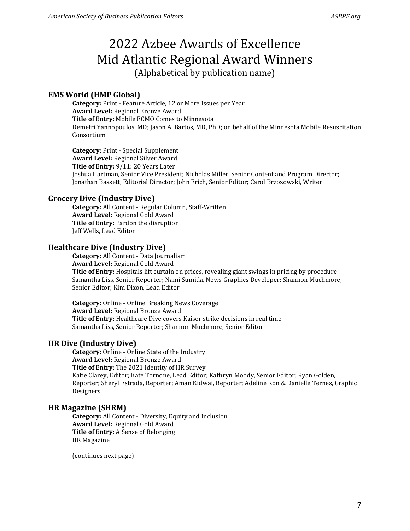### **EMS World (HMP Global)**

**Category:** Print - Feature Article, 12 or More Issues per Year **Award Level:** Regional Bronze Award **Title of Entry:** Mobile ECMO Comes to Minnesota Demetri Yannopoulos, MD; Jason A. Bartos, MD, PhD; on behalf of the Minnesota Mobile Resuscitation Consortium

**Category:** Print - Special Supplement **Award Level:** Regional Silver Award **Title of Entry:** 9/11: 20 Years Later Joshua Hartman, Senior Vice President; Nicholas Miller, Senior Content and Program Director; Jonathan Bassett, Editorial Director; John Erich, Senior Editor; Carol Brzozowski, Writer

#### **Grocery Dive (Industry Dive)**

**Category:** All Content - Regular Column, Staff-Written **Award Level:** Regional Gold Award **Title of Entry:** Pardon the disruption Jeff Wells, Lead Editor

#### **Healthcare Dive (Industry Dive)**

**Category:** All Content - Data Journalism **Award Level:** Regional Gold Award **Title of Entry:** Hospitals lift curtain on prices, revealing giant swings in pricing by procedure Samantha Liss, Senior Reporter; Nami Sumida, News Graphics Developer; Shannon Muchmore, Senior Editor; Kim Dixon, Lead Editor

**Category:** Online - Online Breaking News Coverage **Award Level:** Regional Bronze Award **Title of Entry:** Healthcare Dive covers Kaiser strike decisions in real time Samantha Liss, Senior Reporter; Shannon Muchmore, Senior Editor

#### **HR Dive (Industry Dive)**

**Category:** Online - Online State of the Industry **Award Level:** Regional Bronze Award **Title of Entry:** The 2021 Identity of HR Survey Katie Clarey, Editor; Kate Tornone, Lead Editor; Kathryn Moody, Senior Editor; Ryan Golden, Reporter; Sheryl Estrada, Reporter; Aman Kidwai, Reporter; Adeline Kon & Danielle Ternes, Graphic Designers

#### **HR Magazine (SHRM)**

**Category:** All Content - Diversity, Equity and Inclusion **Award Level:** Regional Gold Award **Title of Entry:** A Sense of Belonging HR Magazine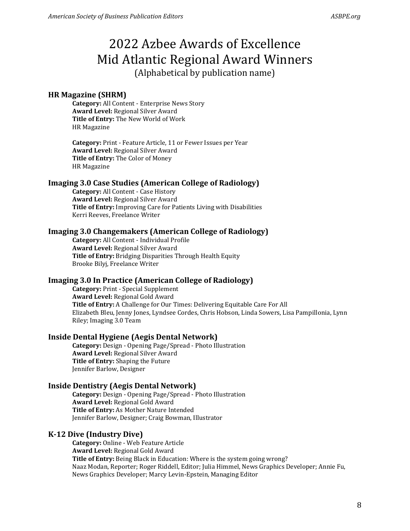### **HR Magazine (SHRM)**

**Category:** All Content - Enterprise News Story **Award Level:** Regional Silver Award **Title of Entry:** The New World of Work HR Magazine

**Category:** Print - Feature Article, 11 or Fewer Issues per Year **Award Level:** Regional Silver Award **Title of Entry:** The Color of Money HR Magazine

#### **Imaging 3.0 Case Studies (American College of Radiology)**

**Category:** All Content - Case History **Award Level:** Regional Silver Award **Title of Entry:** Improving Care for Patients Living with Disabilities Kerri Reeves, Freelance Writer

#### **Imaging 3.0 Changemakers (American College of Radiology)**

**Category:** All Content - Individual Profile **Award Level:** Regional Silver Award **Title of Entry:** Bridging Disparities Through Health Equity Brooke Bilyj, Freelance Writer

## **Imaging 3.0 In Practice (American College of Radiology)**

**Category:** Print - Special Supplement **Award Level:** Regional Gold Award **Title of Entry:** A Challenge for Our Times: Delivering Equitable Care For All Elizabeth Bleu, Jenny Jones, Lyndsee Cordes, Chris Hobson, Linda Sowers, Lisa Pampillonia, Lynn Riley; Imaging 3.0 Team

#### **Inside Dental Hygiene (Aegis Dental Network)**

**Category:** Design - Opening Page/Spread - Photo Illustration **Award Level:** Regional Silver Award **Title of Entry:** Shaping the Future Jennifer Barlow, Designer

#### **Inside Dentistry (Aegis Dental Network)**

**Category:** Design - Opening Page/Spread - Photo Illustration **Award Level:** Regional Gold Award **Title of Entry:** As Mother Nature Intended Jennifer Barlow, Designer; Craig Bowman, Illustrator

#### **K-12 Dive (Industry Dive)**

**Category:** Online - Web Feature Article **Award Level:** Regional Gold Award **Title of Entry:** Being Black in Education: Where is the system going wrong? Naaz Modan, Reporter; Roger Riddell, Editor; Julia Himmel, News Graphics Developer; Annie Fu, News Graphics Developer; Marcy Levin-Epstein, Managing Editor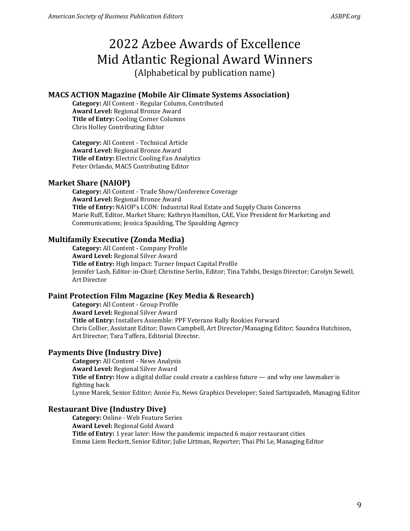## **MACS ACTION Magazine (Mobile Air Climate Systems Association)**

**Category:** All Content - Regular Column, Contributed **Award Level:** Regional Bronze Award **Title of Entry:** Cooling Corner Columns Chris Holley Contributing Editor

**Category:** All Content - Technical Article **Award Level:** Regional Bronze Award **Title of Entry:** Electric Cooling Fan Analytics Peter Orlando, MACS Contributing Editor

#### **Market Share (NAIOP)**

**Category:** All Content - Trade Show/Conference Coverage **Award Level:** Regional Bronze Award **Title of Entry:** NAIOP's I.CON: Industrial Real Estate and Supply Chain Concerns Marie Ruff, Editor, Market Share; Kathryn Hamilton, CAE, Vice President for Marketing and Communications; Jessica Spaulding, The Spaulding Agency

## **Multifamily Executive (Zonda Media)**

**Category:** All Content - Company Profile **Award Level:** Regional Silver Award **Title of Entry:** High Impact: Turner Impact Capital Profile Jennifer Lash, Editor-in-Chief; Christine Serlin, Editor; Tina Tabibi, Design Director; Carolyn Sewell, Art Director

## **Paint Protection Film Magazine (Key Media & Research)**

**Category:** All Content - Group Profile **Award Level:** Regional Silver Award **Title of Entry:** Installers Assemble: PPF Veterans Rally Rookies Forward Chris Collier, Assistant Editor; Dawn Campbell, Art Director/Managing Editor; Saundra Hutchison, Art Director; Tara Taffera, Editorial Director.

#### **Payments Dive (Industry Dive)**

**Category:** All Content - News Analysis **Award Level:** Regional Silver Award **Title of Entry:** How a digital dollar could create a cashless future — and why one lawmaker is fighting back Lynne Marek, Senior Editor; Annie Fu, News Graphics Developer; Saied Sartipzadeh, Managing Editor

#### **Restaurant Dive (Industry Dive)**

**Category:** Online - Web Feature Series **Award Level:** Regional Gold Award **Title of Entry:** 1 year later: How the pandemic impacted 6 major restaurant cities Emma Liem Beckett, Senior Editor; Julie Littman, Reporter; Thai Phi Le, Managing Editor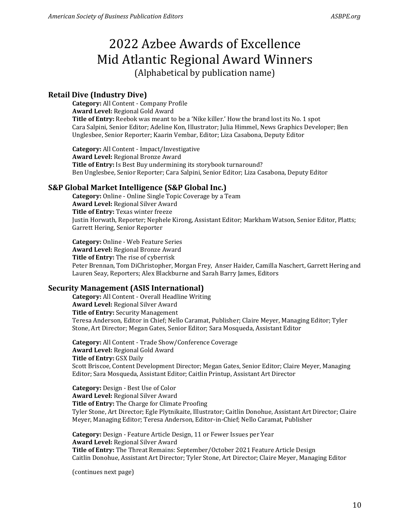# **Retail Dive (Industry Dive)**

**Category:** All Content - Company Profile **Award Level:** Regional Gold Award **Title of Entry:** Reebok was meant to be a 'Nike killer.' How the brand lost its No. 1 spot Cara Salpini, Senior Editor; Adeline Kon, Illustrator; Julia Himmel, News Graphics Developer; Ben Unglesbee, Senior Reporter; Kaarin Vembar, Editor; Liza Casabona, Deputy Editor

**Category:** All Content - Impact/Investigative **Award Level:** Regional Bronze Award **Title of Entry:** Is Best Buy undermining its storybook turnaround? Ben Unglesbee, Senior Reporter; Cara Salpini, Senior Editor; Liza Casabona, Deputy Editor

## **S&P Global Market Intelligence (S&P Global Inc.)**

**Category:** Online - Online Single Topic Coverage by a Team **Award Level:** Regional Silver Award **Title of Entry:** Texas winter freeze Justin Horwath, Reporter; Nephele Kirong, Assistant Editor; Markham Watson, Senior Editor, Platts; Garrett Hering, Senior Reporter

**Category:** Online - Web Feature Series **Award Level:** Regional Bronze Award **Title of Entry:** The rise of cyberrisk Peter Brennan, Tom DiChristopher, Morgan Frey, Anser Haider, Camilla Naschert, Garrett Hering and Lauren Seay, Reporters; Alex Blackburne and Sarah Barry James, Editors

#### **Security Management (ASIS International)**

**Category:** All Content - Overall Headline Writing **Award Level:** Regional Silver Award **Title of Entry:** Security Management Teresa Anderson, Editor in Chief; Nello Caramat, Publisher; Claire Meyer, Managing Editor; Tyler Stone, Art Director; Megan Gates, Senior Editor; Sara Mosqueda, Assistant Editor

**Category:** All Content - Trade Show/Conference Coverage **Award Level:** Regional Gold Award **Title of Entry:** GSX Daily Scott Briscoe, Content Development Director; Megan Gates, Senior Editor; Claire Meyer, Managing Editor; Sara Mosqueda, Assistant Editor; Caitlin Printup, Assistant Art Director

**Category:** Design - Best Use of Color **Award Level:** Regional Silver Award **Title of Entry:** The Charge for Climate Proofing Tyler Stone, Art Director; Egle Plytnikaite, Illustrator; Caitlin Donohue, Assistant Art Director; Claire Meyer, Managing Editor; Teresa Anderson, Editor-in-Chief; Nello Caramat, Publisher

**Category:** Design - Feature Article Design, 11 or Fewer Issues per Year **Award Level:** Regional Silver Award **Title of Entry:** The Threat Remains: September/October 2021 Feature Article Design Caitlin Donohue, Assistant Art Director; Tyler Stone, Art Director; Claire Meyer, Managing Editor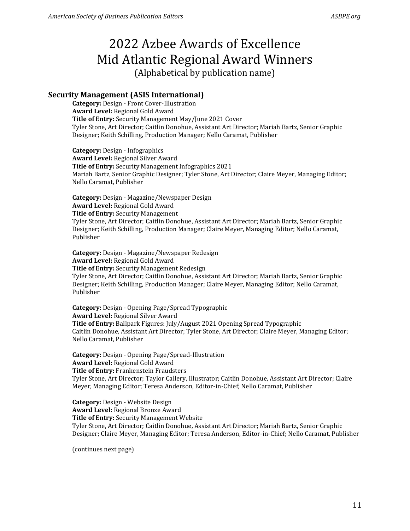# **Security Management (ASIS International)**

**Category:** Design - Front Cover-Illustration **Award Level:** Regional Gold Award **Title of Entry:** Security Management May/June 2021 Cover Tyler Stone, Art Director; Caitlin Donohue, Assistant Art Director; Mariah Bartz, Senior Graphic Designer; Keith Schilling, Production Manager; Nello Caramat, Publisher

**Category:** Design - Infographics **Award Level:** Regional Silver Award **Title of Entry:** Security Management Infographics 2021 Mariah Bartz, Senior Graphic Designer; Tyler Stone, Art Director; Claire Meyer, Managing Editor; Nello Caramat, Publisher

**Category:** Design - Magazine/Newspaper Design **Award Level:** Regional Gold Award **Title of Entry:** Security Management Tyler Stone, Art Director; Caitlin Donohue, Assistant Art Director; Mariah Bartz, Senior Graphic Designer; Keith Schilling, Production Manager; Claire Meyer, Managing Editor; Nello Caramat, Publisher

**Category:** Design - Magazine/Newspaper Redesign **Award Level:** Regional Gold Award **Title of Entry:** Security Management Redesign Tyler Stone, Art Director; Caitlin Donohue, Assistant Art Director; Mariah Bartz, Senior Graphic Designer; Keith Schilling, Production Manager; Claire Meyer, Managing Editor; Nello Caramat, Publisher

**Category:** Design - Opening Page/Spread Typographic **Award Level:** Regional Silver Award **Title of Entry:** Ballpark Figures: July/August 2021 Opening Spread Typographic Caitlin Donohue, Assistant Art Director; Tyler Stone, Art Director; Claire Meyer, Managing Editor; Nello Caramat, Publisher

**Category:** Design - Opening Page/Spread-Illustration **Award Level:** Regional Gold Award **Title of Entry:** Frankenstein Fraudsters Tyler Stone, Art Director; Taylor Callery, Illustrator; Caitlin Donohue, Assistant Art Director; Claire Meyer, Managing Editor; Teresa Anderson, Editor-in-Chief; Nello Caramat, Publisher

**Category:** Design - Website Design **Award Level:** Regional Bronze Award **Title of Entry:** Security Management Website Tyler Stone, Art Director; Caitlin Donohue, Assistant Art Director; Mariah Bartz, Senior Graphic Designer; Claire Meyer, Managing Editor; Teresa Anderson, Editor-in-Chief; Nello Caramat, Publisher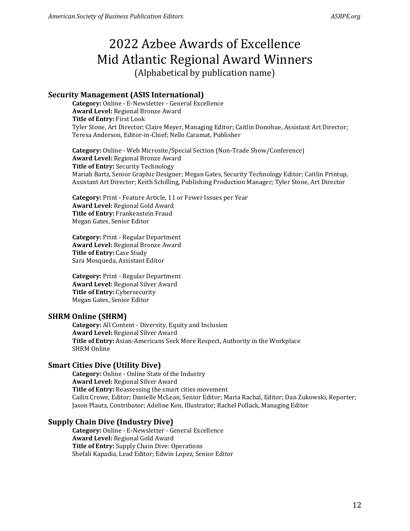## **Security Management (ASIS International)**

**Category:** Online - E-Newsletter - General Excellence **Award Level:** Regional Bronze Award **Title of Entry:** First Look Tyler Stone, Art Director; Claire Meyer, Managing Editor; Caitlin Donohue, Assistant Art Director; Teresa Anderson, Editor-in-Chief; Nello Caramat, Publisher

**Category:** Online - Web Microsite/Special Section (Non-Trade Show/Conference) **Award Level:** Regional Bronze Award **Title of Entry:** Security Technology Mariah Bartz, Senior Graphic Designer; Megan Gates, Security Technology Editor; Caitlin Printup, Assistant Art Director; Keith Schilling, Publishing Production Manager; Tyler Stone, Art Director

**Category:** Print - Feature Article, 11 or Fewer Issues per Year **Award Level:** Regional Gold Award **Title of Entry:** Frankenstein Fraud Megan Gates, Senior Editor

**Category:** Print - Regular Department **Award Level:** Regional Bronze Award **Title of Entry:** Case Study Sara Mosqueda, Assistant Editor

**Category:** Print - Regular Department **Award Level:** Regional Silver Award **Title of Entry:** Cybersecurity Megan Gates, Senior Editor

#### **SHRM Online (SHRM)**

**Category:** All Content - Diversity, Equity and Inclusion **Award Level:** Regional Silver Award **Title of Entry:** Asian-Americans Seek More Respect, Authority in the Workplace SHRM Online

#### **Smart Cities Dive (Utility Dive)**

**Category:** Online - Online State of the Industry **Award Level:** Regional Silver Award **Title of Entry:** Reassessing the smart cities movement Cailin Crowe, Editor; Danielle McLean, Senior Editor; Maria Rachal, Editor; Dan Zukowski, Reporter; Jason Plautz, Contributor; Adeline Kon, Illustrator; Rachel Pollack, Managing Editor

### **Supply Chain Dive (Industry Dive)**

**Category:** Online - E-Newsletter - General Excellence **Award Level:** Regional Gold Award **Title of Entry:** Supply Chain Dive: Operations Shefali Kapadia, Lead Editor; Edwin Lopez, Senior Editor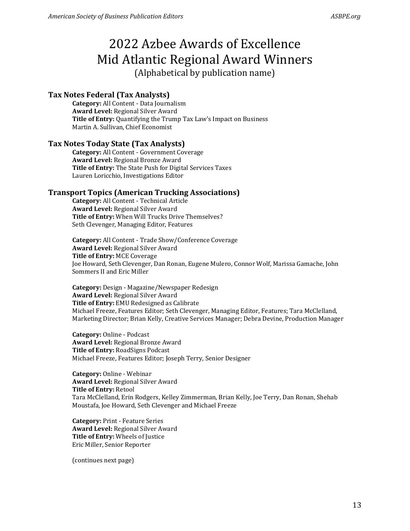## **Tax Notes Federal (Tax Analysts)**

**Category:** All Content - Data Journalism **Award Level:** Regional Silver Award **Title of Entry:** Quantifying the Trump Tax Law's Impact on Business Martin A. Sullivan, Chief Economist

#### **Tax Notes Today State (Tax Analysts)**

**Category:** All Content - Government Coverage **Award Level:** Regional Bronze Award **Title of Entry:** The State Push for Digital Services Taxes Lauren Loricchio, Investigations Editor

#### **Transport Topics (American Trucking Associations)**

**Category:** All Content - Technical Article **Award Level:** Regional Silver Award **Title of Entry:** When Will Trucks Drive Themselves? Seth Clevenger, Managing Editor, Features

**Category:** All Content - Trade Show/Conference Coverage **Award Level:** Regional Silver Award **Title of Entry:** MCE Coverage Joe Howard, Seth Clevenger, Dan Ronan, Eugene Mulero, Connor Wolf, Marissa Gamache, John Sommers II and Eric Miller

**Category:** Design - Magazine/Newspaper Redesign **Award Level:** Regional Silver Award **Title of Entry:** EMU Redesigned as Calibrate Michael Freeze, Features Editor; Seth Clevenger, Managing Editor, Features; Tara McClelland, Marketing Director; Brian Kelly, Creative Services Manager; Debra Devine, Production Manager

**Category:** Online - Podcast **Award Level:** Regional Bronze Award **Title of Entry:** RoadSigns Podcast Michael Freeze, Features Editor; Joseph Terry, Senior Designer

**Category:** Online - Webinar **Award Level:** Regional Silver Award **Title of Entry:** Retool Tara McClelland, Erin Rodgers, Kelley Zimmerman, Brian Kelly, Joe Terry, Dan Ronan, Shehab Moustafa, Joe Howard, Seth Clevenger and Michael Freeze

**Category:** Print - Feature Series **Award Level:** Regional Silver Award **Title of Entry:** Wheels of Justice Eric Miller, Senior Reporter